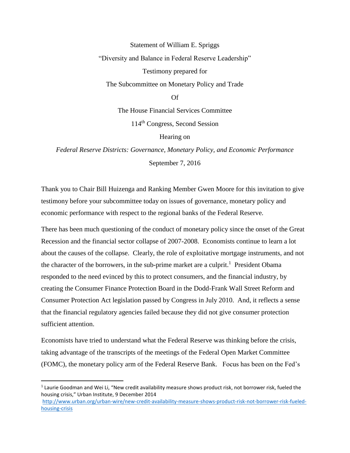Statement of William E. Spriggs

"Diversity and Balance in Federal Reserve Leadership"

Testimony prepared for

The Subcommittee on Monetary Policy and Trade

Of

The House Financial Services Committee

114th Congress, Second Session

Hearing on

*Federal Reserve Districts: Governance, Monetary Policy, and Economic Performance* September 7, 2016

Thank you to Chair Bill Huizenga and Ranking Member Gwen Moore for this invitation to give testimony before your subcommittee today on issues of governance, monetary policy and economic performance with respect to the regional banks of the Federal Reserve.

There has been much questioning of the conduct of monetary policy since the onset of the Great Recession and the financial sector collapse of 2007-2008. Economists continue to learn a lot about the causes of the collapse. Clearly, the role of exploitative mortgage instruments, and not the character of the borrowers, in the sub-prime market are a culprit.<sup>1</sup> President Obama responded to the need evinced by this to protect consumers, and the financial industry, by creating the Consumer Finance Protection Board in the Dodd-Frank Wall Street Reform and Consumer Protection Act legislation passed by Congress in July 2010. And, it reflects a sense that the financial regulatory agencies failed because they did not give consumer protection sufficient attention.

Economists have tried to understand what the Federal Reserve was thinking before the crisis, taking advantage of the transcripts of the meetings of the Federal Open Market Committee (FOMC), the monetary policy arm of the Federal Reserve Bank. Focus has been on the Fed's

<sup>&</sup>lt;sup>1</sup> Laurie Goodman and Wei Li, "New credit availability measure shows product risk, not borrower risk, fueled the housing crisis," Urban Institute, 9 December 2014 [http://www.urban.org/urban-wire/new-credit-availability-measure-shows-product-risk-not-borrower-risk-fueled-](http://www.urban.org/urban-wire/new-credit-availability-measure-shows-product-risk-not-borrower-risk-fueled-housing-crisis)

[housing-crisis](http://www.urban.org/urban-wire/new-credit-availability-measure-shows-product-risk-not-borrower-risk-fueled-housing-crisis)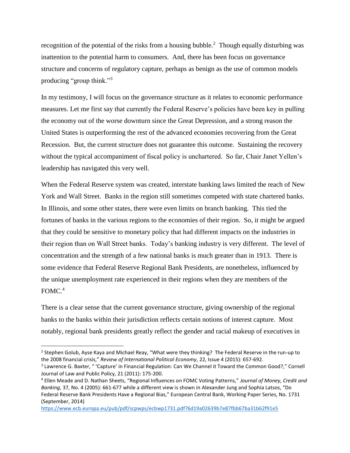recognition of the potential of the risks from a housing bubble.<sup>2</sup> Though equally disturbing was inattention to the potential harm to consumers. And, there has been focus on governance structure and concerns of regulatory capture, perhaps as benign as the use of common models producing "group think."<sup>3</sup>

In my testimony, I will focus on the governance structure as it relates to economic performance measures. Let me first say that currently the Federal Reserve's policies have been key in pulling the economy out of the worse downturn since the Great Depression, and a strong reason the United States is outperforming the rest of the advanced economies recovering from the Great Recession. But, the current structure does not guarantee this outcome. Sustaining the recovery without the typical accompaniment of fiscal policy is unchartered. So far, Chair Janet Yellen's leadership has navigated this very well.

When the Federal Reserve system was created, interstate banking laws limited the reach of New York and Wall Street. Banks in the region still sometimes competed with state chartered banks. In Illinois, and some other states, there were even limits on branch banking. This tied the fortunes of banks in the various regions to the economies of their region. So, it might be argued that they could be sensitive to monetary policy that had different impacts on the industries in their region than on Wall Street banks. Today's banking industry is very different. The level of concentration and the strength of a few national banks is much greater than in 1913. There is some evidence that Federal Reserve Regional Bank Presidents, are nonetheless, influenced by the unique unemployment rate experienced in their regions when they are members of the  $FOMC<sup>4</sup>$ 

There is a clear sense that the current governance structure, giving ownership of the regional banks to the banks within their jurisdiction reflects certain notions of interest capture. Most notably, regional bank presidents greatly reflect the gender and racial makeup of executives in

 $\overline{\phantom{a}}$ 

<sup>&</sup>lt;sup>2</sup> Stephen Golub, Ayse Kaya and Michael Reay, "What were they thinking? The Federal Reserve in the run-up to the 2008 financial crisis," *Review of International Political Economy*, 22, Issue 4 (2015): 657-692.

<sup>&</sup>lt;sup>3</sup> Lawrence G. Baxter, " 'Capture' in Financial Regulation: Can We Channel it Toward the Common Good?," Cornell Journal of Law and Public Policy, 21 (2011): 175-200.

<sup>4</sup> Ellen Meade and D. Nathan Sheets, "Regional Influences on FOMC Voting Patterns," *Journal of Money, Credit and Banking,* 37, No. 4 (2005): 661-677 while a different view is shown in Alexander Jung and Sophia Latsos, "Do Federal Reserve Bank Presidents Have a Regional Bias," European Central Bank, Working Paper Series, No. 1731 (September, 2014)

<https://www.ecb.europa.eu/pub/pdf/scpwps/ecbwp1731.pdf?6d19a02639b7e87fbb67ba31b62f91e5>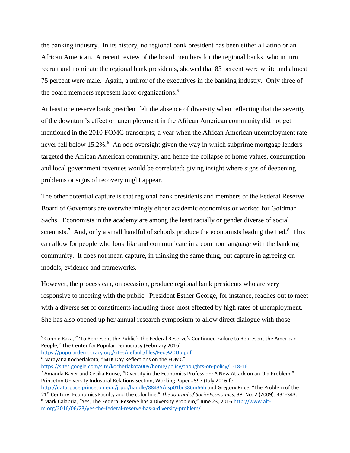the banking industry. In its history, no regional bank president has been either a Latino or an African American. A recent review of the board members for the regional banks, who in turn recruit and nominate the regional bank presidents, showed that 83 percent were white and almost 75 percent were male. Again, a mirror of the executives in the banking industry. Only three of the board members represent labor organizations.<sup>5</sup>

At least one reserve bank president felt the absence of diversity when reflecting that the severity of the downturn's effect on unemployment in the African American community did not get mentioned in the 2010 FOMC transcripts; a year when the African American unemployment rate never fell below 15.2%.<sup>6</sup> An odd oversight given the way in which subprime mortgage lenders targeted the African American community, and hence the collapse of home values, consumption and local government revenues would be correlated; giving insight where signs of deepening problems or signs of recovery might appear.

The other potential capture is that regional bank presidents and members of the Federal Reserve Board of Governors are overwhelmingly either academic economists or worked for Goldman Sachs. Economists in the academy are among the least racially or gender diverse of social scientists.<sup>7</sup> And, only a small handful of schools produce the economists leading the Fed. $8$  This can allow for people who look like and communicate in a common language with the banking community. It does not mean capture, in thinking the same thing, but capture in agreeing on models, evidence and frameworks.

However, the process can, on occasion, produce regional bank presidents who are very responsive to meeting with the public. President Esther George, for instance, reaches out to meet with a diverse set of constituents including those most effected by high rates of unemployment. She has also opened up her annual research symposium to allow direct dialogue with those

 $\overline{a}$ 

<https://sites.google.com/site/kocherlakota009/home/policy/thoughts-on-policy/1-18-16>

<sup>7</sup> Amanda Bayer and Cecilia Rouse, "Diversity in the Economics Profession: A New Attack on an Old Problem," Princeton University Industrial Relations Section, Working Paper #597 (July 2016 fe <http://dataspace.princeton.edu/jspui/handle/88435/dsp01bc386m66h> and Gregory Price, "The Problem of the 21st Century: Economics Faculty and the color line," *The Journal of Socio-Economics,* 38, No. 2 (2009): 331-343.

<sup>5</sup> Connie Raza, " 'To Represent the Public': The Federal Reserve's Continued Failure to Represent the American People," The Center for Popular Democracy (February 2016) <https://populardemocracy.org/sites/default/files/Fed%20Up.pdf>

<sup>6</sup> Narayana Kocherlakota, "MLK Day Reflections on the FOMC"

<sup>8</sup> Mark Calabria, "Yes, The Federal Reserve has a Diversity Problem," June 23, 2016 [http://www.alt](http://www.alt-m.org/2016/06/23/yes-the-federal-reserve-has-a-diversity-problem/)[m.org/2016/06/23/yes-the-federal-reserve-has-a-diversity-problem/](http://www.alt-m.org/2016/06/23/yes-the-federal-reserve-has-a-diversity-problem/)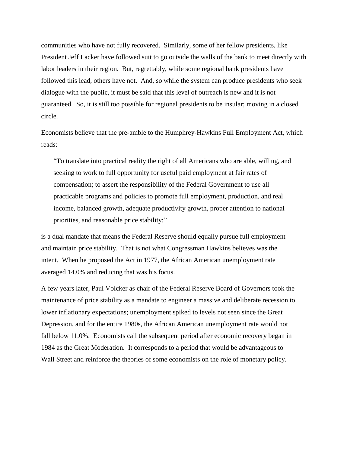communities who have not fully recovered. Similarly, some of her fellow presidents, like President Jeff Lacker have followed suit to go outside the walls of the bank to meet directly with labor leaders in their region. But, regrettably, while some regional bank presidents have followed this lead, others have not. And, so while the system can produce presidents who seek dialogue with the public, it must be said that this level of outreach is new and it is not guaranteed. So, it is still too possible for regional presidents to be insular; moving in a closed circle.

Economists believe that the pre-amble to the Humphrey-Hawkins Full Employment Act, which reads:

"To translate into practical reality the right of all Americans who are able, willing, and seeking to work to full opportunity for useful paid employment at fair rates of compensation; to assert the responsibility of the Federal Government to use all practicable programs and policies to promote full employment, production, and real income, balanced growth, adequate productivity growth, proper attention to national priorities, and reasonable price stability;"

is a dual mandate that means the Federal Reserve should equally pursue full employment and maintain price stability. That is not what Congressman Hawkins believes was the intent. When he proposed the Act in 1977, the African American unemployment rate averaged 14.0% and reducing that was his focus.

A few years later, Paul Volcker as chair of the Federal Reserve Board of Governors took the maintenance of price stability as a mandate to engineer a massive and deliberate recession to lower inflationary expectations; unemployment spiked to levels not seen since the Great Depression, and for the entire 1980s, the African American unemployment rate would not fall below 11.0%. Economists call the subsequent period after economic recovery began in 1984 as the Great Moderation. It corresponds to a period that would be advantageous to Wall Street and reinforce the theories of some economists on the role of monetary policy.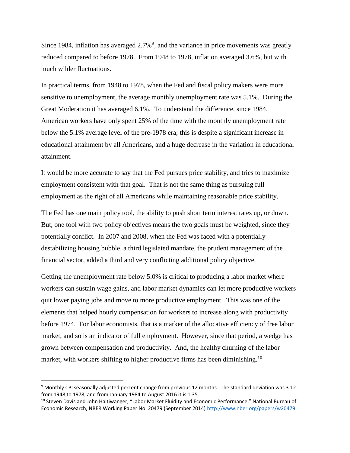Since 1984, inflation has averaged  $2.7\%$ <sup>9</sup>, and the variance in price movements was greatly reduced compared to before 1978. From 1948 to 1978, inflation averaged 3.6%, but with much wilder fluctuations.

In practical terms, from 1948 to 1978, when the Fed and fiscal policy makers were more sensitive to unemployment, the average monthly unemployment rate was 5.1%. During the Great Moderation it has averaged 6.1%. To understand the difference, since 1984, American workers have only spent 25% of the time with the monthly unemployment rate below the 5.1% average level of the pre-1978 era; this is despite a significant increase in educational attainment by all Americans, and a huge decrease in the variation in educational attainment.

It would be more accurate to say that the Fed pursues price stability, and tries to maximize employment consistent with that goal. That is not the same thing as pursuing full employment as the right of all Americans while maintaining reasonable price stability.

The Fed has one main policy tool, the ability to push short term interest rates up, or down. But, one tool with two policy objectives means the two goals must be weighted, since they potentially conflict. In 2007 and 2008, when the Fed was faced with a potentially destabilizing housing bubble, a third legislated mandate, the prudent management of the financial sector, added a third and very conflicting additional policy objective.

Getting the unemployment rate below 5.0% is critical to producing a labor market where workers can sustain wage gains, and labor market dynamics can let more productive workers quit lower paying jobs and move to more productive employment. This was one of the elements that helped hourly compensation for workers to increase along with productivity before 1974. For labor economists, that is a marker of the allocative efficiency of free labor market, and so is an indicator of full employment. However, since that period, a wedge has grown between compensation and productivity. And, the healthy churning of the labor market, with workers shifting to higher productive firms has been diminishing.<sup>10</sup>

<sup>9</sup> Monthly CPI seasonally adjusted percent change from previous 12 months. The standard deviation was 3.12 from 1948 to 1978, and from January 1984 to August 2016 it is 1.35.

<sup>&</sup>lt;sup>10</sup> Steven Davis and John Haltiwanger, "Labor Market Fluidity and Economic Performance," National Bureau of Economic Research, NBER Working Paper No. 20479 (September 2014)<http://www.nber.org/papers/w20479>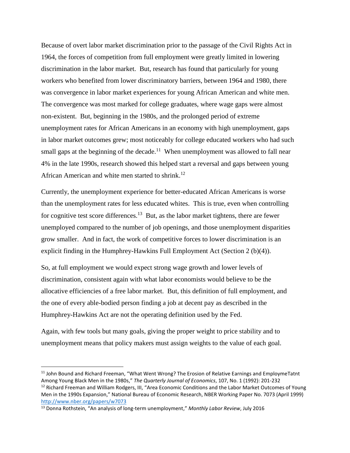Because of overt labor market discrimination prior to the passage of the Civil Rights Act in 1964, the forces of competition from full employment were greatly limited in lowering discrimination in the labor market. But, research has found that particularly for young workers who benefited from lower discriminatory barriers, between 1964 and 1980, there was convergence in labor market experiences for young African American and white men. The convergence was most marked for college graduates, where wage gaps were almost non-existent. But, beginning in the 1980s, and the prolonged period of extreme unemployment rates for African Americans in an economy with high unemployment, gaps in labor market outcomes grew; most noticeably for college educated workers who had such small gaps at the beginning of the decade.<sup>11</sup> When unemployment was allowed to fall near 4% in the late 1990s, research showed this helped start a reversal and gaps between young African American and white men started to shrink.<sup>12</sup>

Currently, the unemployment experience for better-educated African Americans is worse than the unemployment rates for less educated whites. This is true, even when controlling for cognitive test score differences.<sup>13</sup> But, as the labor market tightens, there are fewer unemployed compared to the number of job openings, and those unemployment disparities grow smaller. And in fact, the work of competitive forces to lower discrimination is an explicit finding in the Humphrey-Hawkins Full Employment Act (Section 2 (b)(4)).

So, at full employment we would expect strong wage growth and lower levels of discrimination, consistent again with what labor economists would believe to be the allocative efficiencies of a free labor market. But, this definition of full employment, and the one of every able-bodied person finding a job at decent pay as described in the Humphrey-Hawkins Act are not the operating definition used by the Fed.

Again, with few tools but many goals, giving the proper weight to price stability and to unemployment means that policy makers must assign weights to the value of each goal.

<sup>&</sup>lt;sup>11</sup> John Bound and Richard Freeman, "What Went Wrong? The Erosion of Relative Earnings and EmploymeTatnt Among Young Black Men in the 1980s," *The Quarterly Journal of Economics*, 107, No. 1 (1992): 201-232 <sup>12</sup> Richard Freeman and William Rodgers, III, "Area Economic Conditions and the Labor Market Outcomes of Young Men in the 1990s Expansion," National Bureau of Economic Research, NBER Working Paper No. 7073 (April 1999) <http://www.nber.org/papers/w7073>

<sup>13</sup> Donna Rothstein, "An analysis of long-term unemployment," *Monthly Labor Review*, July 2016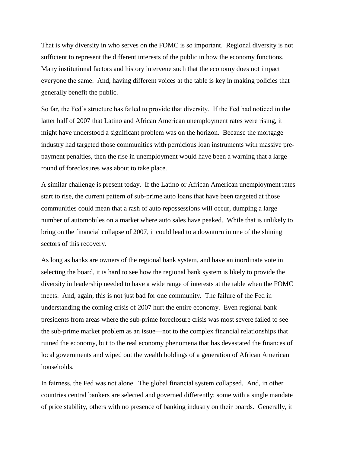That is why diversity in who serves on the FOMC is so important. Regional diversity is not sufficient to represent the different interests of the public in how the economy functions. Many institutional factors and history intervene such that the economy does not impact everyone the same. And, having different voices at the table is key in making policies that generally benefit the public.

So far, the Fed's structure has failed to provide that diversity. If the Fed had noticed in the latter half of 2007 that Latino and African American unemployment rates were rising, it might have understood a significant problem was on the horizon. Because the mortgage industry had targeted those communities with pernicious loan instruments with massive prepayment penalties, then the rise in unemployment would have been a warning that a large round of foreclosures was about to take place.

A similar challenge is present today. If the Latino or African American unemployment rates start to rise, the current pattern of sub-prime auto loans that have been targeted at those communities could mean that a rash of auto repossessions will occur, dumping a large number of automobiles on a market where auto sales have peaked. While that is unlikely to bring on the financial collapse of 2007, it could lead to a downturn in one of the shining sectors of this recovery.

As long as banks are owners of the regional bank system, and have an inordinate vote in selecting the board, it is hard to see how the regional bank system is likely to provide the diversity in leadership needed to have a wide range of interests at the table when the FOMC meets. And, again, this is not just bad for one community. The failure of the Fed in understanding the coming crisis of 2007 hurt the entire economy. Even regional bank presidents from areas where the sub-prime foreclosure crisis was most severe failed to see the sub-prime market problem as an issue—not to the complex financial relationships that ruined the economy, but to the real economy phenomena that has devastated the finances of local governments and wiped out the wealth holdings of a generation of African American households.

In fairness, the Fed was not alone. The global financial system collapsed. And, in other countries central bankers are selected and governed differently; some with a single mandate of price stability, others with no presence of banking industry on their boards. Generally, it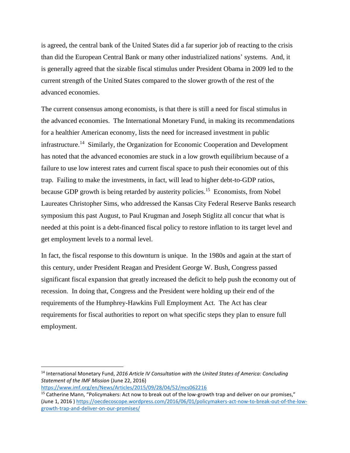is agreed, the central bank of the United States did a far superior job of reacting to the crisis than did the European Central Bank or many other industrialized nations' systems. And, it is generally agreed that the sizable fiscal stimulus under President Obama in 2009 led to the current strength of the United States compared to the slower growth of the rest of the advanced economies.

The current consensus among economists, is that there is still a need for fiscal stimulus in the advanced economies. The International Monetary Fund, in making its recommendations for a healthier American economy, lists the need for increased investment in public infrastructure.<sup>14</sup> Similarly, the Organization for Economic Cooperation and Development has noted that the advanced economies are stuck in a low growth equilibrium because of a failure to use low interest rates and current fiscal space to push their economies out of this trap. Failing to make the investments, in fact, will lead to higher debt-to-GDP ratios, because GDP growth is being retarded by austerity policies.<sup>15</sup> Economists, from Nobel Laureates Christopher Sims, who addressed the Kansas City Federal Reserve Banks research symposium this past August, to Paul Krugman and Joseph Stiglitz all concur that what is needed at this point is a debt-financed fiscal policy to restore inflation to its target level and get employment levels to a normal level.

In fact, the fiscal response to this downturn is unique. In the 1980s and again at the start of this century, under President Reagan and President George W. Bush, Congress passed significant fiscal expansion that greatly increased the deficit to help push the economy out of recession. In doing that, Congress and the President were holding up their end of the requirements of the Humphrey-Hawkins Full Employment Act. The Act has clear requirements for fiscal authorities to report on what specific steps they plan to ensure full employment.

<sup>14</sup> International Monetary Fund, *2016 Article IV Consultation with the United States of America: Concluding Statement of the IMF Mission* (June 22, 2016)

<https://www.imf.org/en/News/Articles/2015/09/28/04/52/mcs062216>

<sup>15</sup> Catherine Mann, "Policymakers: Act now to break out of the low-growth trap and deliver on our promises," (June 1, 2016 [\) https://oecdecoscope.wordpress.com/2016/06/01/policymakers-act-now-to-break-out-of-the-low](https://oecdecoscope.wordpress.com/2016/06/01/policymakers-act-now-to-break-out-of-the-low-growth-trap-and-deliver-on-our-promises/)[growth-trap-and-deliver-on-our-promises/](https://oecdecoscope.wordpress.com/2016/06/01/policymakers-act-now-to-break-out-of-the-low-growth-trap-and-deliver-on-our-promises/)